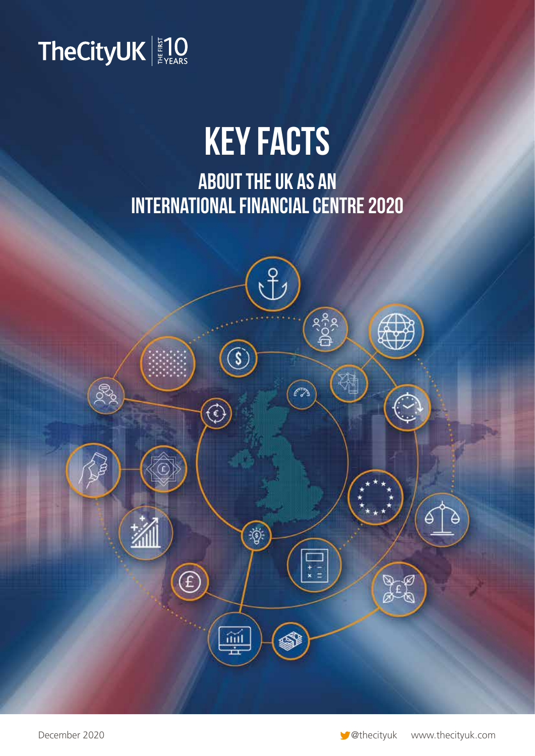

# KEY FACTS

ABOUT THE UK AS AN INTERNATIONAL FINANCIAL CENTRE 2020

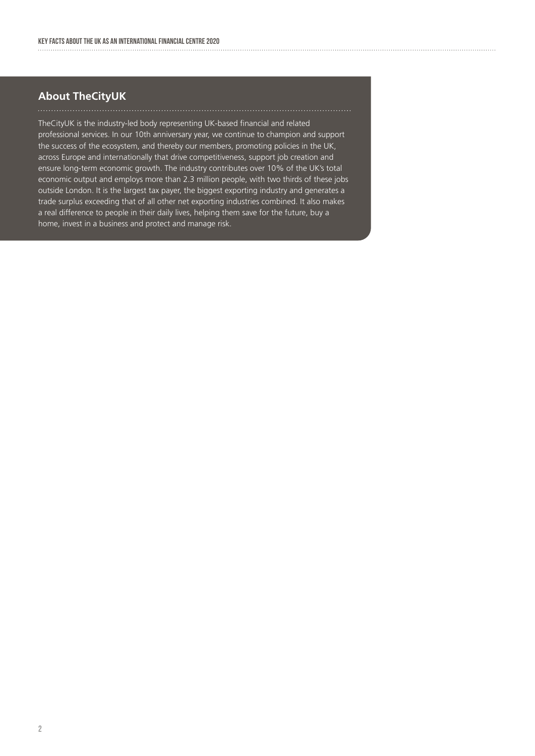#### **About TheCityUK**

TheCityUK is the industry-led body representing UK-based financial and related professional services. In our 10th anniversary year, we continue to champion and support the success of the ecosystem, and thereby our members, promoting policies in the UK, across Europe and internationally that drive competitiveness, support job creation and ensure long-term economic growth. The industry contributes over 10% of the UK's total economic output and employs more than 2.3 million people, with two thirds of these jobs outside London. It is the largest tax payer, the biggest exporting industry and generates a trade surplus exceeding that of all other net exporting industries combined. It also makes a real difference to people in their daily lives, helping them save for the future, buy a home, invest in a business and protect and manage risk.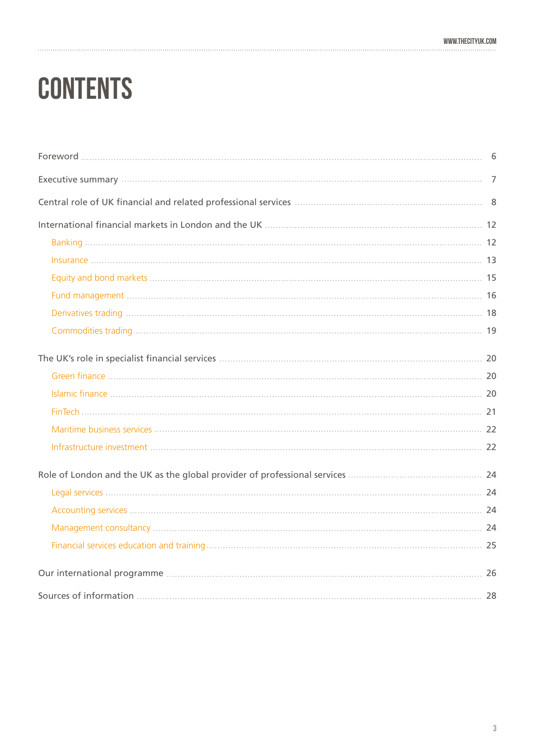# **CONTENTS**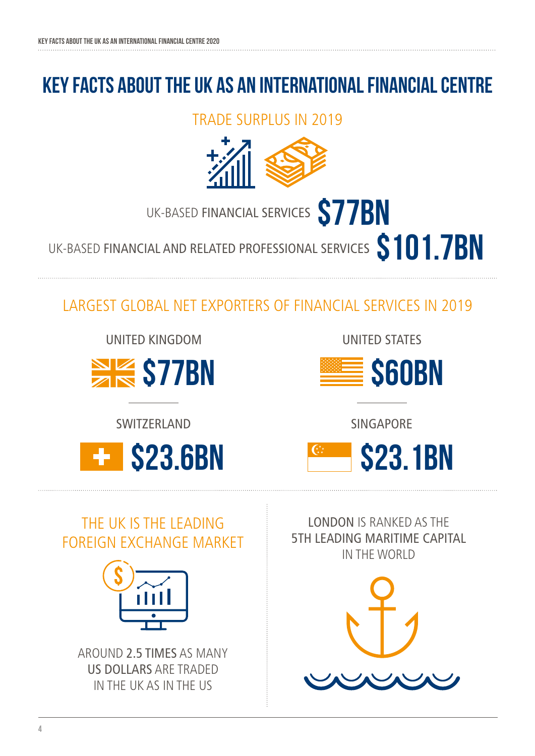## KEY FACTS ABOUT THE UK AS AN INTERNATIONAL FINANCial CENTRE

TRADE SURPLUS IN 2019



UK-BASED FINANCIAL SERVICES **S77BN** 

UK-BASED FINANCIAL AND RELATED PROFESSIONAL SERVICES **\$101.7BN** 

LARGEST GLOBAL NET EXPORTERS OF FINANCIAL SERVICES IN 2019

UNITED KINGDOM



**SWITZERLAND** 

 $\ddot{\phantom{1}}$ 

UNITED STATES



SINGAPORE



## THE UK IS THE LEADING FOREIGN EXCHANGE MARKET



AROUND 2.5 TIMES AS MANY US DOLLARS ARE TRADED IN THE UK AS IN THE US

LONDON IS RANKED AS THE 5TH LEADING MARITIME CAPITAL IN THE WORLD

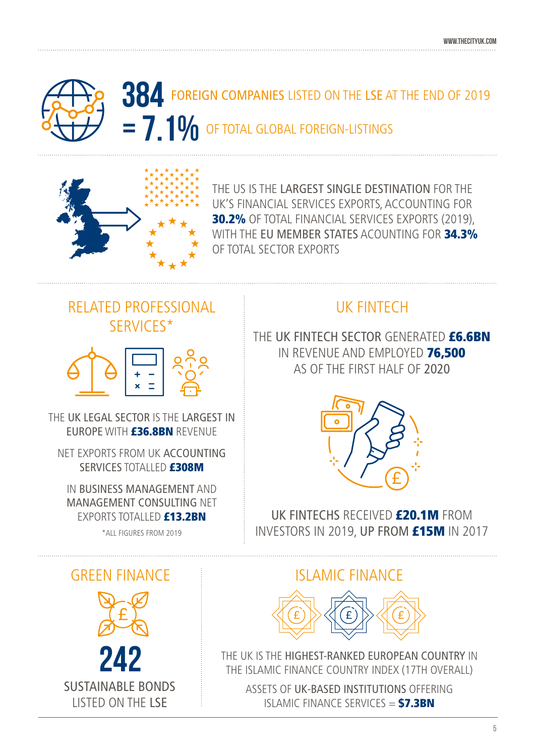



THE US IS THE LARGEST SINGLE DESTINATION FOR THE UK'S FINANCIAL SERVICES EXPORTS, ACCOUNTING FOR 30.2% OF TOTAL FINANCIAL SERVICES EXPORTS (2019), WITH THE EU MEMBER STATES ACOUNTING FOR 34.3% OF TOTAL SECTOR EXPORTS

## RELATED PROFESSIONAL SERVICES\*



THE UK LEGAL SECTOR IS THE LARGEST IN FUROPE WITH **£36.8BN** REVENUE

NET EXPORTS FROM UK ACCOUNTING SERVICES TOTALLED **£308M** 

IN BUSINESS MANAGEMENT AND MANAGEMENT CONSULTING NET EXPORTS TOTALLED **£13.2BN** 

\*ALL FIGURES FROM 2019

## UK FINTECH

THE UK FINTECH SECTOR GENERATED **£6.6BN** IN REVENUE AND EMPLOYED 76,500 AS OF THE FIRST HALF OF 2020



UK FINTECHS RECEIVED **£20.1M** FROM INVESTORS IN 2019, UP FROM £15M IN 2017

## GREEN FINANCE ISLAMIC FINANCE



THE UK IS THE HIGHEST-RANKED EUROPEAN COUNTRY IN THE ISLAMIC FINANCE COUNTRY INDEX (17TH OVERALL)

ASSETS OF UK-BASED INSTITUTIONS OFFERING ISLAMIC FINANCE SERVICES  $=$  \$7.3BN

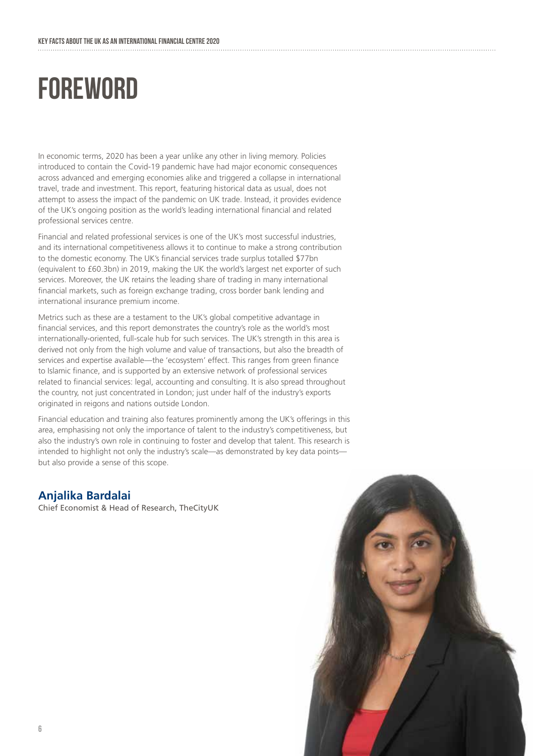## **FOREWORD**

In economic terms, 2020 has been a year unlike any other in living memory. Policies introduced to contain the Covid-19 pandemic have had major economic consequences across advanced and emerging economies alike and triggered a collapse in international travel, trade and investment. This report, featuring historical data as usual, does not attempt to assess the impact of the pandemic on UK trade. Instead, it provides evidence of the UK's ongoing position as the world's leading international financial and related professional services centre.

Financial and related professional services is one of the UK's most successful industries, and its international competitiveness allows it to continue to make a strong contribution to the domestic economy. The UK's financial services trade surplus totalled \$77bn (equivalent to £60.3bn) in 2019, making the UK the world's largest net exporter of such services. Moreover, the UK retains the leading share of trading in many international financial markets, such as foreign exchange trading, cross border bank lending and international insurance premium income.

Metrics such as these are a testament to the UK's global competitive advantage in financial services, and this report demonstrates the country's role as the world's most internationally-oriented, full-scale hub for such services. The UK's strength in this area is derived not only from the high volume and value of transactions, but also the breadth of services and expertise available—the 'ecosystem' effect. This ranges from green finance to Islamic finance, and is supported by an extensive network of professional services related to financial services: legal, accounting and consulting. It is also spread throughout the country, not just concentrated in London; just under half of the industry's exports originated in reigons and nations outside London.

Financial education and training also features prominently among the UK's offerings in this area, emphasising not only the importance of talent to the industry's competitiveness, but also the industry's own role in continuing to foster and develop that talent. This research is intended to highlight not only the industry's scale—as demonstrated by key data points but also provide a sense of this scope.

#### **Anjalika Bardalai**

Chief Economist & Head of Research, TheCityUK

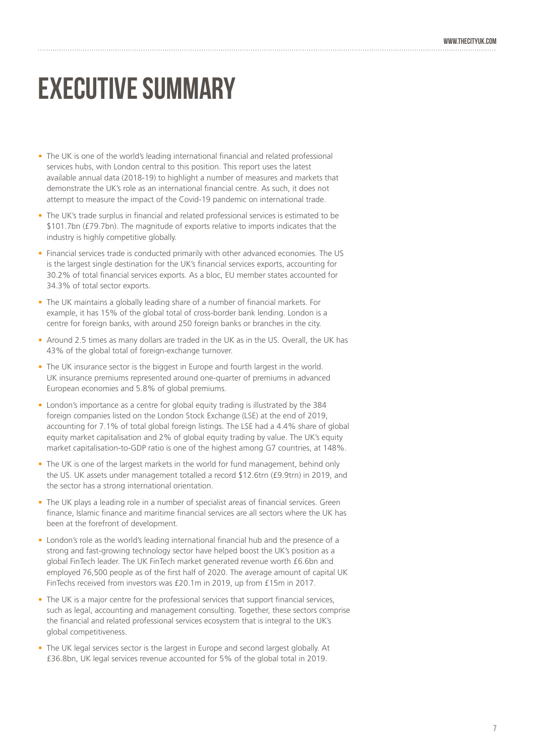## EXECUTIVE SUMMARY

- The UK is one of the world's leading international financial and related professional services hubs, with London central to this position. This report uses the latest available annual data (2018-19) to highlight a number of measures and markets that demonstrate the UK's role as an international financial centre. As such, it does not attempt to measure the impact of the Covid-19 pandemic on international trade.
- The UK's trade surplus in financial and related professional services is estimated to be \$101.7bn (£79.7bn). The magnitude of exports relative to imports indicates that the industry is highly competitive globally.
- Financial services trade is conducted primarily with other advanced economies. The US is the largest single destination for the UK's financial services exports, accounting for 30.2% of total financial services exports. As a bloc, EU member states accounted for 34.3% of total sector exports.
- The UK maintains a globally leading share of a number of financial markets. For example, it has 15% of the global total of cross-border bank lending. London is a centre for foreign banks, with around 250 foreign banks or branches in the city.
- Around 2.5 times as many dollars are traded in the UK as in the US. Overall, the UK has 43% of the global total of foreign-exchange turnover.
- The UK insurance sector is the biggest in Europe and fourth largest in the world. UK insurance premiums represented around one-quarter of premiums in advanced European economies and 5.8% of global premiums.
- London's importance as a centre for global equity trading is illustrated by the 384 foreign companies listed on the London Stock Exchange (LSE) at the end of 2019, accounting for 7.1% of total global foreign listings. The LSE had a 4.4% share of global equity market capitalisation and 2% of global equity trading by value. The UK's equity market capitalisation-to-GDP ratio is one of the highest among G7 countries, at 148%.
- The UK is one of the largest markets in the world for fund management, behind only the US. UK assets under management totalled a record \$12.6trn (£9.9trn) in 2019, and the sector has a strong international orientation.
- The UK plays a leading role in a number of specialist areas of financial services. Green finance, Islamic finance and maritime financial services are all sectors where the UK has been at the forefront of development.
- London's role as the world's leading international financial hub and the presence of a strong and fast-growing technology sector have helped boost the UK's position as a global FinTech leader. The UK FinTech market generated revenue worth £6.6bn and employed 76,500 people as of the first half of 2020. The average amount of capital UK FinTechs received from investors was £20.1m in 2019, up from £15m in 2017.
- The UK is a major centre for the professional services that support financial services, such as legal, accounting and management consulting. Together, these sectors comprise the financial and related professional services ecosystem that is integral to the UK's global competitiveness.
- The UK legal services sector is the largest in Europe and second largest globally. At £36.8bn, UK legal services revenue accounted for 5% of the global total in 2019.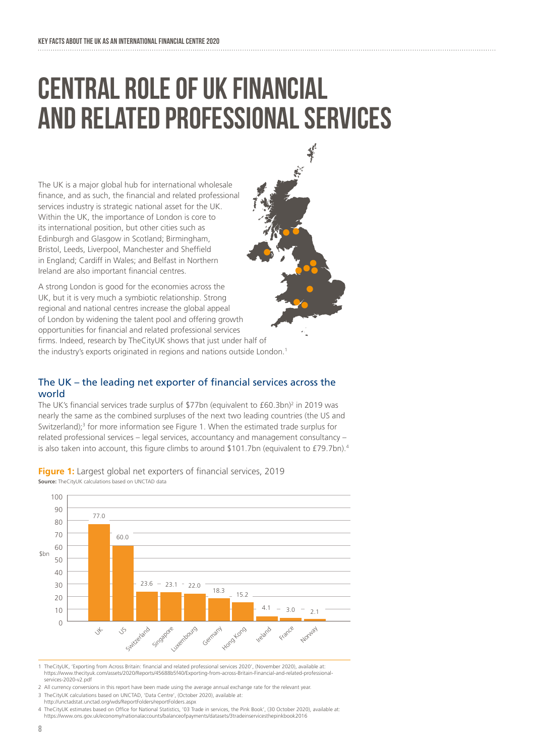## CENTRAL ROLE OF UK FINANCIAL AND RELATED PROFESSIONAL SERVICES

The UK is a major global hub for international wholesale finance, and as such, the financial and related professional services industry is strategic national asset for the UK. Within the UK, the importance of London is core to its international position, but other cities such as Edinburgh and Glasgow in Scotland; Birmingham, Bristol, Leeds, Liverpool, Manchester and Sheffield in England; Cardiff in Wales; and Belfast in Northern Ireland are also important financial centres.

A strong London is good for the economies across the UK, but it is very much a symbiotic relationship. Strong regional and national centres increase the global appeal of London by widening the talent pool and offering growth opportunities for financial and related professional services firms. Indeed, research by TheCityUK shows that just under half of the industry's exports originated in regions and nations outside London.<sup>1</sup>

#### The UK – the leading net exporter of financial services across the world

The UK's financial services trade surplus of  $$77$ bn (equivalent to  $£60.3$ bn)<sup>2</sup> in 2019 was nearly the same as the combined surpluses of the next two leading countries (the US and Switzerland);<sup>3</sup> for more information see Figure 1. When the estimated trade surplus for related professional services – legal services, accountancy and management consultancy – is also taken into account, this figure climbs to around \$101.7bn (equivalent to £79.7bn).<sup>4</sup>



**Figure 1:** Largest global net exporters of financial services, 2019 **Source:** TheCityUK calculations based on UNCTAD data

1 TheCityUK, 'Exporting from Across Britain: financial and related professional services 2020', (November 2020), available at: https://www.thecityuk.com/assets/2020/Reports/45688b5f40/Exporting-from-across-Britain-Financial-and-related-professionalservices-2020-v2.pdf

2 All currency conversions in this report have been made using the average annual exchange rate for the relevant year 3 TheCityUK calculations based on UNCTAD, 'Data Centre', (October 2020), available at:

http://unctadstat.unctad.org/wds/ReportFolders/reportFolders.aspx 4 TheCityUK estimates based on Office for National Statistics, '03 Trade in services, the Pink Book', (30 October 2020), available at: https://www.ons.gov.uk/economy/nationalaccounts/balanceofpayments/datasets/3tradeinservicesthepinkbook2016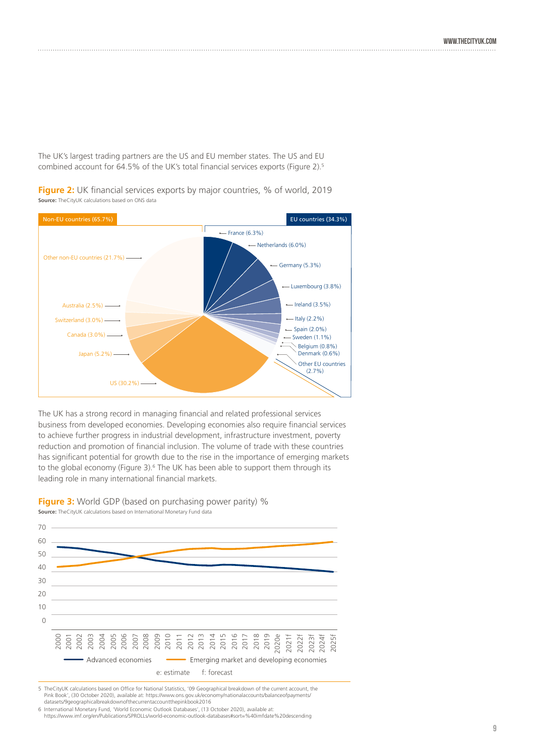The UK's largest trading partners are the US and EU member states. The US and EU combined account for 64.5% of the UK's total financial services exports (Figure 2).5



**Figure 2:** UK financial services exports by major countries, % of world, 2019 **Source:** TheCityUK calculations based on ONS data

The UK has a strong record in managing financial and related professional services business from developed economies. Developing economies also require financial services to achieve further progress in industrial development, infrastructure investment, poverty reduction and promotion of financial inclusion. The volume of trade with these countries has significant potential for growth due to the rise in the importance of emerging markets to the global economy (Figure 3).<sup>6</sup> The UK has been able to support them through its leading role in many international financial markets.

**Figure 3:** World GDP (based on purchasing power parity) % **Source:** TheCityUK calculations based on International Monetary Fund data



5 TheCityUK calculations based on Office for National Statistics, '09 Geographical breakdown of the current account, the Pink Book', (30 October 2020), available at: https://www.ons.gov.uk/economy/nationalaccounts/balanceofpayments/ datasets/9geographicalbreakdownofthecurrentaccountthepinkbook2016

6 International Monetary Fund, 'World Economic Outlook Databases', (13 October 2020), available at: https://www.imf.org/en/Publications/SPROLLs/world-economic-outlook-databases#sort=%40imfdate%20descending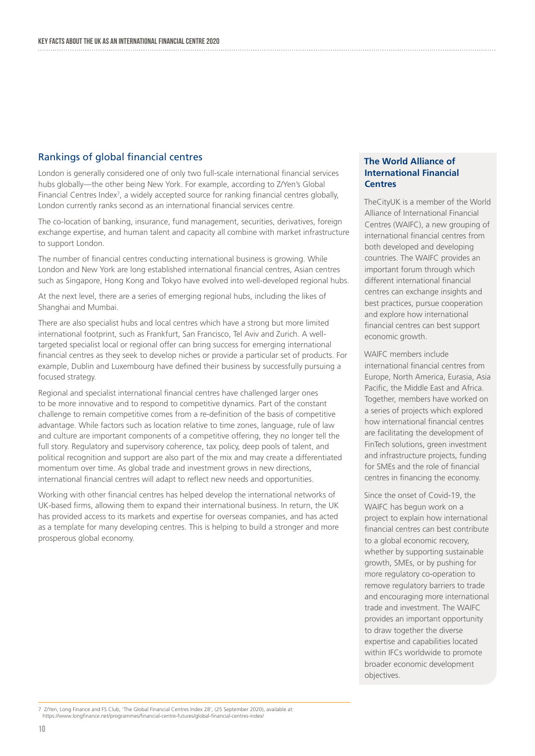#### Rankings of global financial centres

London is generally considered one of only two full-scale international financial services hubs globally—the other being New York. For example, according to Z/Yen's Global Financial Centres Index<sup>7</sup>, a widely accepted source for ranking financial centres globally, London currently ranks second as an international financial services centre.

The co-location of banking, insurance, fund management, securities, derivatives, foreign exchange expertise, and human talent and capacity all combine with market infrastructure to support London.

The number of financial centres conducting international business is growing. While London and New York are long established international financial centres, Asian centres such as Singapore, Hong Kong and Tokyo have evolved into well-developed regional hubs.

At the next level, there are a series of emerging regional hubs, including the likes of Shanghai and Mumbai.

There are also specialist hubs and local centres which have a strong but more limited international footprint, such as Frankfurt, San Francisco, Tel Aviv and Zurich. A welltargeted specialist local or regional offer can bring success for emerging international financial centres as they seek to develop niches or provide a particular set of products. For example, Dublin and Luxembourg have defined their business by successfully pursuing a focused strategy.

Regional and specialist international financial centres have challenged larger ones to be more innovative and to respond to competitive dynamics. Part of the constant challenge to remain competitive comes from a re-definition of the basis of competitive advantage. While factors such as location relative to time zones, language, rule of law and culture are important components of a competitive offering, they no longer tell the full story. Regulatory and supervisory coherence, tax policy, deep pools of talent, and political recognition and support are also part of the mix and may create a differentiated momentum over time. As global trade and investment grows in new directions, international financial centres will adapt to reflect new needs and opportunities.

Working with other financial centres has helped develop the international networks of UK-based firms, allowing them to expand their international business. In return, the UK has provided access to its markets and expertise for overseas companies, and has acted as a template for many developing centres. This is helping to build a stronger and more prosperous global economy.

#### **The World Alliance of International Financial Centres**

TheCityUK is a member of the World Alliance of International Financial Centres (WAIFC), a new grouping of international financial centres from both developed and developing countries. The WAIFC provides an important forum through which different international financial centres can exchange insights and best practices, pursue cooperation and explore how international financial centres can best support economic growth.

WAIFC members include international financial centres from Europe, North America, Eurasia, Asia Pacific, the Middle East and Africa. Together, members have worked on a series of projects which explored how international financial centres are facilitating the development of FinTech solutions, green investment and infrastructure projects, funding for SMEs and the role of financial centres in financing the economy.

Since the onset of Covid-19, the WAIFC has begun work on a project to explain how international financial centres can best contribute to a global economic recovery, whether by supporting sustainable growth, SMEs, or by pushing for more regulatory co-operation to remove regulatory barriers to trade and encouraging more international trade and investment. The WAIFC provides an important opportunity to draw together the diverse expertise and capabilities located within IFCs worldwide to promote broader economic development objectives.

7 Z/Yen, Long Finance and FS Club, 'The Global Financial Centres Index 28', (25 September 2020), available at: https://www.longfinance.net/programmes/financial-centre-futures/global-financial-centres-index/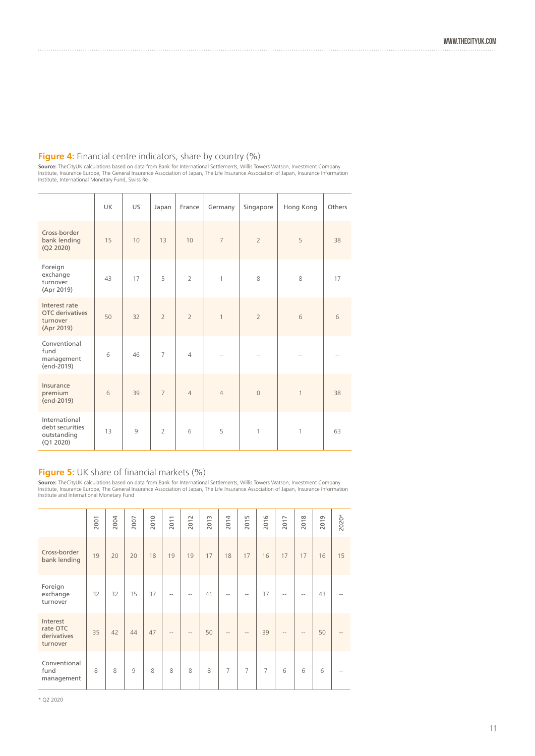#### **Figure 4:** Financial centre indicators, share by country (%)

**Source:** TheCityUK calculations based on data from Bank for International Settlements, Willis Towers Watson, Investment Company<br>Institute, Insurance Europe, The General Insurance Association of Japan, The Life Insurance A

|                                                              | <b>UK</b>       | US. | Japan          | France         | Germany        | Singapore      | Hong Kong    | Others |
|--------------------------------------------------------------|-----------------|-----|----------------|----------------|----------------|----------------|--------------|--------|
| Cross-border<br>bank lending<br>(Q2 2020)                    | 15              | 10  | 13             | 10             | $\overline{7}$ | $\overline{2}$ | 5            | 38     |
| Foreign<br>exchange<br>turnover<br>(Apr 2019)                | 43              | 17  | 5              | $\overline{2}$ | 1              | 8              | 8            | 17     |
| Interest rate<br>OTC derivatives<br>turnover<br>(Apr 2019)   | 50              | 32  | $\overline{2}$ | $\overline{2}$ | $\mathbf{1}$   | $\overline{2}$ | $6\,$        | 6      |
| Conventional<br>fund<br>management<br>(end-2019)             | 6               | 46  | $\overline{7}$ | $\overline{4}$ |                | $-$            | --           |        |
| Insurance<br>premium<br>(end-2019)                           | $6\phantom{1}6$ | 39  | $\overline{7}$ | $\overline{4}$ | $\overline{4}$ | $\circ$        | $\mathbf{1}$ | 38     |
| International<br>debt securities<br>outstanding<br>(Q1 2020) | 13              | 9   | $\overline{2}$ | 6              | 5              | $\mathbf{1}$   | 1            | 63     |

#### **Figure 5:** UK share of financial markets (%)

**Source:** TheCityUK calculations based on data from Bank for International Settlements, Willis Towers Watson, Investment Company<br>Institute, Insurance Europe, The General Insurance Association of Japan, The Life Insurance A

|                                                 | 2001 | 2004 | 2007           | 2010 | 2011       | 2012       | 2013 | 2014                     | 2015           | 2016           | 2017              | 2018              | 2019 | $2020*$ |
|-------------------------------------------------|------|------|----------------|------|------------|------------|------|--------------------------|----------------|----------------|-------------------|-------------------|------|---------|
| Cross-border<br>bank lending                    | 19   | 20   | 20             | 18   | 19         | 19         | 17   | 18                       | 17             | 16             | 17                | 17                | 16   | 15      |
| Foreign<br>exchange<br>turnover                 | 32   | 32   | 35             | 37   | $\sim$ $-$ | $\sim$ $-$ | 41   | $\overline{\phantom{a}}$ | $\sim$ $-$     | 37             | $\sim$ $-$        | $-$               | 43   |         |
| Interest<br>rate OTC<br>derivatives<br>turnover | 35   | 42   | 44             | 47   | $\sim$ $-$ | $\cdots$   | 50   | $\cdots$                 | $\sim$ $-$     | 39             | $\qquad \qquad -$ | $\qquad \qquad -$ | 50   |         |
| Conventional<br>fund<br>management              | 8    | 8    | $\overline{9}$ | 8    | 8          | 8          | 8    | $\overline{7}$           | $\overline{7}$ | $\overline{7}$ | 6                 | 6                 | 6    |         |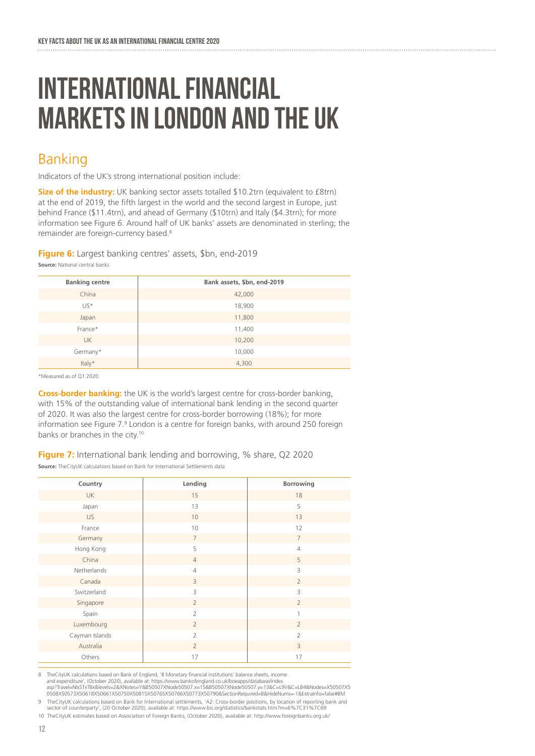## INTERNATIONAL FINANCIAL MARKETS IN LONDON AND THE UK

### Banking

Indicators of the UK's strong international position include:

**Size of the industry:** UK banking sector assets totalled \$10.2trn (equivalent to £8trn) at the end of 2019, the fifth largest in the world and the second largest in Europe, just behind France (\$11.4trn), and ahead of Germany (\$10trn) and Italy (\$4.3trn); for more information see Figure 6. Around half of UK banks' assets are denominated in sterling; the remainder are foreign-currency based.8

**Figure 6:** Largest banking centres' assets, \$bn, end-2019

| <b>Banking centre</b> | Bank assets, \$bn, end-2019 |
|-----------------------|-----------------------------|
| China                 | 42,000                      |
| $US*$                 | 18,900                      |
| Japan                 | 11,800                      |
| France*               | 11,400                      |
| <b>UK</b>             | 10,200                      |
| Germany*              | 10,000                      |
| Italy*                | 4,300                       |

\*Measured as of Q1 2020

**Source:** National central banks

**Cross-border banking:** the UK is the world's largest centre for cross-border banking, with 15% of the outstanding value of international bank lending in the second quarter of 2020. It was also the largest centre for cross-border borrowing (18%); for more information see Figure 7.<sup>9</sup> London is a centre for foreign banks, with around 250 foreign banks or branches in the city.<sup>10</sup>

**Figure 7:** International bank lending and borrowing, % share, Q2 2020 **Source:** TheCityUK calculations based on Bank for International Settlements data

| Country        | Lending        | Borrowing      |
|----------------|----------------|----------------|
| <b>UK</b>      | 15             | 18             |
| Japan          | 13             | 5              |
| <b>US</b>      | 10             | 13             |
| France         | 10             | 12             |
| Germany        | $\overline{7}$ | $\overline{7}$ |
| Hong Kong      | 5              | $\overline{4}$ |
| China          | $\overline{4}$ | 5              |
| Netherlands    | $\overline{4}$ | 3              |
| Canada         | 3              | $\overline{2}$ |
| Switzerland    | 3              | 3              |
| Singapore      | $\overline{2}$ | $\overline{2}$ |
| Spain          | $\overline{2}$ | $\mathbf{1}$   |
| Luxembourg     | $\overline{2}$ | $\overline{2}$ |
| Cayman Islands | $\overline{2}$ | $\overline{2}$ |
| Australia      | $\overline{2}$ | 3              |
| Others         | 17             | 17             |
|                |                |                |

8 TheCityUK calculations based on Bank of England, 'B Monetary financial institutions' balance sheets, income and expenditure', (October 2020), available at: https://www.bankofengland.co.uk/boeapps/database/index. asp?Travel=NIxSTxTBx&levels=2&XNotes=Y&B50507XNode50507.x=15&B50507XNode50507.y=13&C=L9V&C=LB4&Nodes=X50507X5<br>0508X50573X50618X50661X50750X50815X50765X50766X50773X50790&SectionRequired=B&HideNums=-1&ExtraInfo=false#BM

9 TheCityUK calculations based on Bank for International settlements, 'A2: Cross-border positions, by location of reporting bank and sector of counterparty', (20 October 2020), available at: https://www.bis.org/statistics/bankstats.htm?m=6%7C31%7C69

10 TheCityUK estimates based on Association of Foreign Banks, (October 2020), available at: http://www.foreignbanks.org.uk/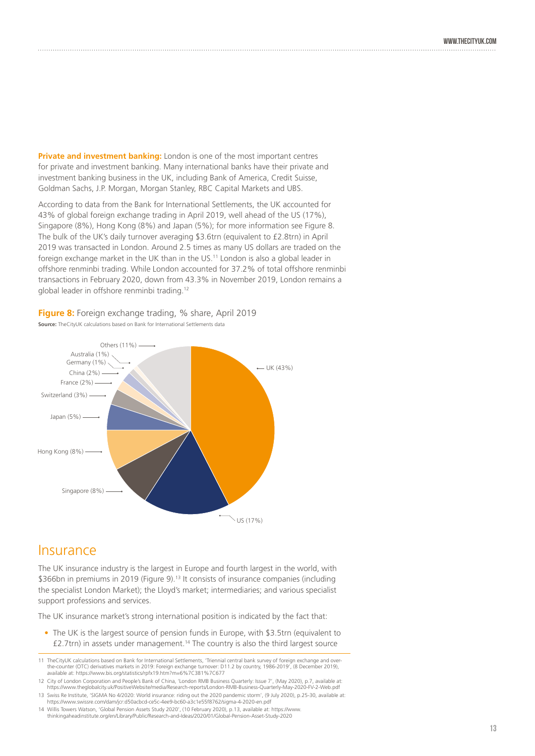**Private and investment banking:** London is one of the most important centres for private and investment banking. Many international banks have their private and investment banking business in the UK, including Bank of America, Credit Suisse, Goldman Sachs, J.P. Morgan, Morgan Stanley, RBC Capital Markets and UBS.

According to data from the Bank for International Settlements, the UK accounted for 43% of global foreign exchange trading in April 2019, well ahead of the US (17%), Singapore (8%), Hong Kong (8%) and Japan (5%); for more information see Figure 8. The bulk of the UK's daily turnover averaging \$3.6trn (equivalent to £2.8trn) in April 2019 was transacted in London. Around 2.5 times as many US dollars are traded on the foreign exchange market in the UK than in the US.<sup>11</sup> London is also a global leader in offshore renminbi trading. While London accounted for 37.2% of total offshore renminbi transactions in February 2020, down from 43.3% in November 2019, London remains a global leader in offshore renminbi trading.12

**Figure 8:** Foreign exchange trading, % share, April 2019 **Source:** TheCityUK calculations based on Bank for International Settlements data



### **Insurance**

The UK insurance industry is the largest in Europe and fourth largest in the world, with \$366bn in premiums in 2019 (Figure 9).<sup>13</sup> It consists of insurance companies (including the specialist London Market); the Lloyd's market; intermediaries; and various specialist support professions and services.

The UK insurance market's strong international position is indicated by the fact that:

• The UK is the largest source of pension funds in Europe, with \$3.5trn (equivalent to  $£2.7$ trn) in assets under management.<sup>14</sup> The country is also the third largest source

<sup>11</sup> TheCityUK calculations based on Bank for International Settlements, 'Triennial central bank survey of foreign exchange and overthe-counter (OTC) derivatives markets in 2019: Foreign exchange turnover: D11.2 by country, 1986-2019', (8 December 2019), available at: https://www.bis.org/statistics/rpfx19.htm?m=6%7C381%7C677

<sup>12</sup> City of London Corporation and People's Bank of China, 'London RMB Business Quarterly: Issue 7', (May 2020), p.7, available at: https://www.theglobalcity.uk/PositiveWebsite/media/Research-reports/London-RMB-Business-Quarterly-May-2020-FV-2-Web.pdf 13 Swiss Re Institute, 'SIGMA No 4/2020: World insurance: riding out the 2020 pandemic storm', (9 July 2020), p.25-30, available at: https://www.swissre.com/dam/jcr:d50acbcd-ce5c-4ee9-bc60-a3c1e55f8762/sigma-4-2020-en.pdf

<sup>14</sup> Willis Towers Watson, 'Global Pension Assets Study 2020', (10 February 2020), p.13, available at: https://www. thinkingaheadinstitute.org/en/Library/Public/Research-and-Ideas/2020/01/Global-Pension-Asset-Study-2020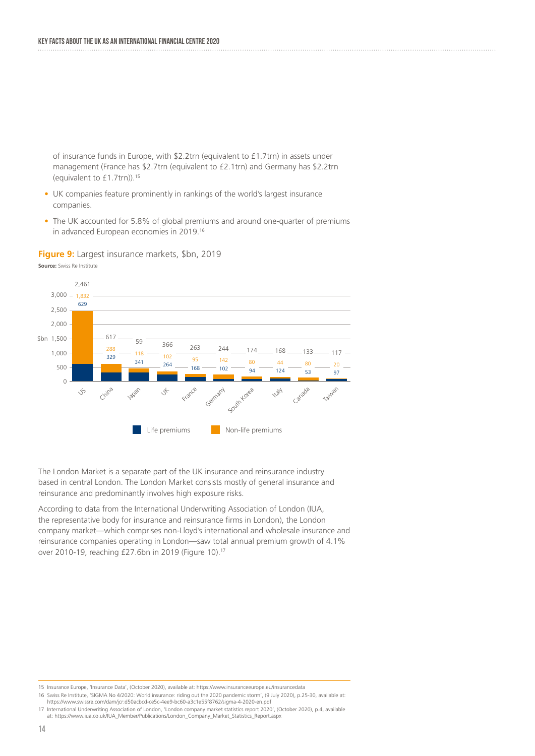of insurance funds in Europe, with \$2.2trn (equivalent to £1.7trn) in assets under management (France has \$2.7trn (equivalent to £2.1trn) and Germany has \$2.2trn (equivalent to £1.7trn)).15

- UK companies feature prominently in rankings of the world's largest insurance companies.
- The UK accounted for 5.8% of global premiums and around one-quarter of premiums in advanced European economies in 2019.16

**Figure 9:** Largest insurance markets, \$bn, 2019



**Source:** Swiss Re Institute

The London Market is a separate part of the UK insurance and reinsurance industry based in central London. The London Market consists mostly of general insurance and reinsurance and predominantly involves high exposure risks.

According to data from the International Underwriting Association of London (IUA, the representative body for insurance and reinsurance firms in London), the London company market—which comprises non-Lloyd's international and wholesale insurance and reinsurance companies operating in London—saw total annual premium growth of 4.1% over 2010-19, reaching £27.6bn in 2019 (Figure 10).17

<sup>15</sup> Insurance Europe, 'Insurance Data', (October 2020), available at: https://www.insuranceeurope.eu/insurancedata

<sup>16</sup> Swiss Re Institute, 'SIGMA No 4/2020: World insurance: riding out the 2020 pandemic storm', (9 July 2020), p.25-30, available at: https://www.swissre.com/dam/jcr:d50acbcd-ce5c-4ee9-bc60-a3c1e55f8762/sigma-4-2020-en.pdf

<sup>17</sup> International Underwriting Association of London, 'London company market statistics report 2020', (October 2020), p.4, available<br>at: https://www.iua.co.uk/IUA\_Member/Publications/London\_Company\_Market\_Statistics\_Report.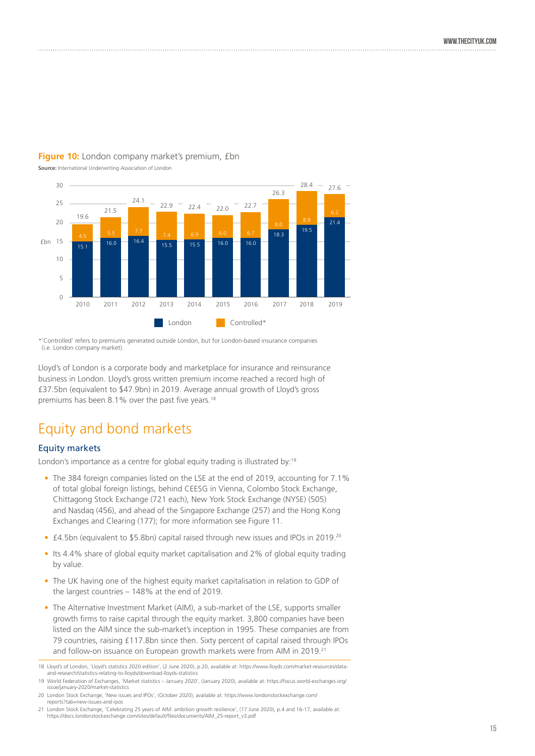

#### **Figure 10:** London company market's premium, £bn

**Source:** International Underwriting Association of London

\*'Controlled' refers to premiums generated outside London, but for London-based insurance companies (i.e. London company market).

Lloyd's of London is a corporate body and marketplace for insurance and reinsurance business in London. Lloyd's gross written premium income reached a record high of £37.5bn (equivalent to \$47.9bn) in 2019. Average annual growth of Lloyd's gross premiums has been 8.1% over the past five years.<sup>18</sup>

## Equity and bond markets

#### Equity markets

London's importance as a centre for global equity trading is illustrated by:<sup>19</sup>

- The 384 foreign companies listed on the LSE at the end of 2019, accounting for 7.1% of total global foreign listings, behind CEESG in Vienna, Colombo Stock Exchange, Chittagong Stock Exchange (721 each), New York Stock Exchange (NYSE) (505) and Nasdaq (456), and ahead of the Singapore Exchange (257) and the Hong Kong Exchanges and Clearing (177); for more information see Figure 11.
- £4.5bn (equivalent to \$5.8bn) capital raised through new issues and IPOs in 2019.<sup>20</sup>
- Its 4.4% share of global equity market capitalisation and 2% of global equity trading by value.
- The UK having one of the highest equity market capitalisation in relation to GDP of the largest countries – 148% at the end of 2019.
- The Alternative Investment Market (AIM), a sub-market of the LSE, supports smaller growth firms to raise capital through the equity market. 3,800 companies have been listed on the AIM since the sub-market's inception in 1995. These companies are from 79 countries, raising £117.8bn since then. Sixty percent of capital raised through IPOs and follow-on issuance on European growth markets were from AIM in 2019.<sup>21</sup>

<sup>18</sup> Lloyd's of London, 'Lloyd's statistics 2020 edition', (2 June 2020), p.20, available at: https://www.lloyds.com/market-resources/dataand-research/statistics-relating-to-lloyds/download-lloyds-statistics

<sup>19</sup> World Federation of Exchanges, 'Market statistics – January 2020', (January 2020), available at: https://focus.world-exchanges.org/ issue/january-2020/market-statistics

<sup>20</sup> London Stock Exchange, 'New issues and IPOs', (October 2020), available at: https://www.londonstockexchange.com/ reports?tab=new-issues-and-ipos

<sup>21</sup> London Stock Exchange, 'Celebrating 25 years of AIM: ambition growth resilience', (17 June 2020), p.4 and 16-17, available at: https://docs.londonstockexchange.com/sites/default/files/documents/AIM\_25-report\_v3.pdf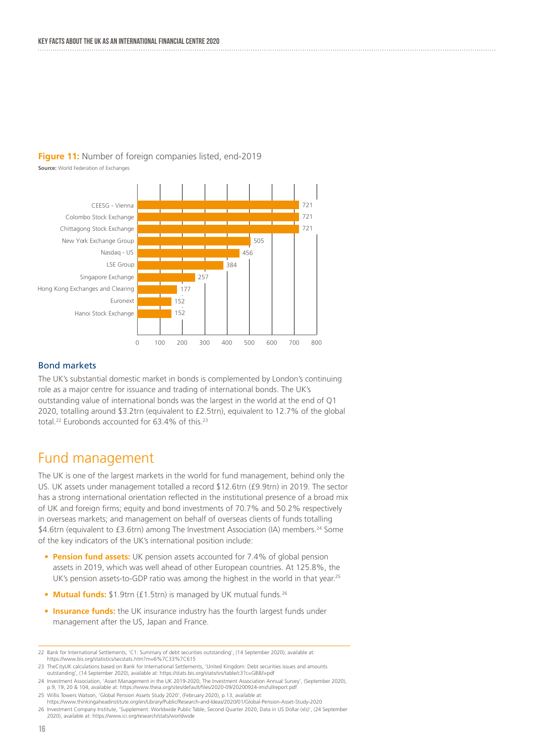#### **Figure 11:** Number of foreign companies listed, end-2019

**Source:** World Federation of Exchanges



#### Bond markets

The UK's substantial domestic market in bonds is complemented by London's continuing role as a major centre for issuance and trading of international bonds. The UK's outstanding value of international bonds was the largest in the world at the end of Q1 2020, totalling around \$3.2trn (equivalent to £2.5trn), equivalent to 12.7% of the global total.22 Eurobonds accounted for 63.4% of this.23

### Fund management

The UK is one of the largest markets in the world for fund management, behind only the US. UK assets under management totalled a record \$12.6trn (£9.9trn) in 2019. The sector has a strong international orientation reflected in the institutional presence of a broad mix of UK and foreign firms; equity and bond investments of 70.7% and 50.2% respectively in overseas markets; and management on behalf of overseas clients of funds totalling \$4.6trn (equivalent to £3.6trn) among The Investment Association (IA) members.24 Some of the key indicators of the UK's international position include:

- **Pension fund assets:** UK pension assets accounted for 7.4% of global pension assets in 2019, which was well ahead of other European countries. At 125.8%, the UK's pension assets-to-GDP ratio was among the highest in the world in that year.<sup>25</sup>
- **Mutual funds:** \$1.9trn (£1.5trn) is managed by UK mutual funds.<sup>26</sup>
- **Insurance funds:** the UK insurance industry has the fourth largest funds under management after the US, Japan and France.

<sup>22</sup> Bank for International Settlements, 'C1: Summary of debt securities outstanding', (14 September 2020), available at: https://www.bis.org/statistics/secstats.htm?m=6%7C33%7C615

<sup>23</sup> TheCityUK calculations based on Bank for International Settlements, 'United Kingdom: Debt securities issues and amounts outstanding', (14 September 2020), available at: https://stats.bis.org/statx/srs/table/c3?c=GB&f=pdf

<sup>24</sup> Investment Association, 'Asset Management in the UK 2019-2020, The Investment Association Annual Survey', (September 2020), p.9, 19, 20 & 104, available at: https://www.theia.org/sites/default/files/2020-09/20200924-imsfullreport.pdf

<sup>25</sup> Willis Towers Watson, 'Global Pension Assets Study 2020', (February 2020), p.13, available at: https://www.thinkingaheadinstitute.org/en/Library/Public/Research-and-Ideas/2020/01/Global-Pension-Asset-Study-2020 26 Investment Company Institute, 'Supplement: Worldwide Public Table, Second Quarter 2020, Data in US Dollar (xls)', (24 September 2020), available at: https://www.ici.org/research/stats/worldwide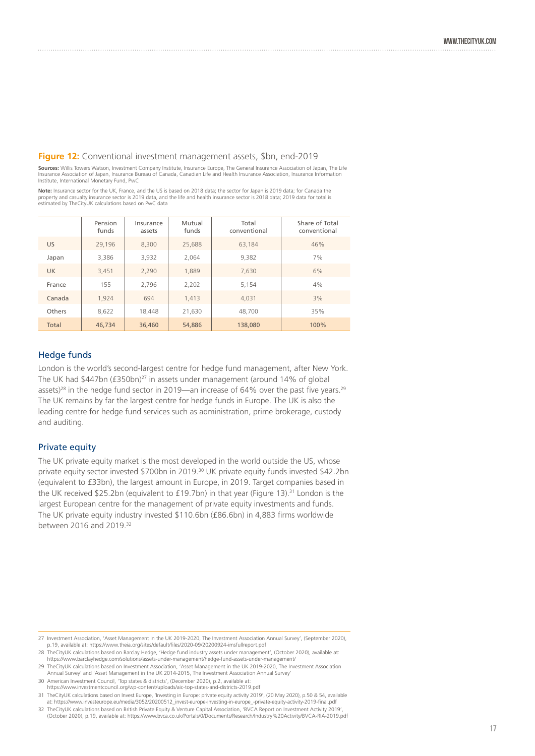#### **Figure 12:** Conventional investment management assets, \$bn, end-2019

**Sources:** Willis Towers Watson, Investment Company Institute, Insurance Europe, The General Insurance Association of Japan, The Life<br>Insurance Association of Japan, Insurance Bureau of Canada, Canadian Life and Health Ins Institute, International Monetary Fund, PwC

Note: Insurance sector for the UK, France, and the US is based on 2018 data; the sector for Japan is 2019 data; for Canada the<br>property and casualty insurance sector is 2019 data, and the life and health insurance sector i estimated by TheCityUK calculations based on PwC data

|           | Pension<br>funds | Insurance<br>assets | Mutual<br>funds | Total<br>conventional | Share of Total<br>conventional |
|-----------|------------------|---------------------|-----------------|-----------------------|--------------------------------|
| <b>US</b> | 29,196           | 8,300               | 25,688          | 63.184                | 46%                            |
| Japan     | 3,386            | 3,932               | 2.064           | 9,382                 | 7%                             |
| <b>UK</b> | 3,451            | 2,290               | 1,889           | 7,630                 | 6%                             |
| France    | 155              | 2.796               | 2,202           | 5.154                 | 4%                             |
| Canada    | 1.924            | 694                 | 1.413           | 4.031                 | 3%                             |
| Others    | 8,622            | 18,448              | 21.630          | 48,700                | 35%                            |
| Total     | 46,734           | 36,460              | 54,886          | 138,080               | 100%                           |

#### Hedge funds

London is the world's second-largest centre for hedge fund management, after New York. The UK had \$447bn (£350bn)<sup>27</sup> in assets under management (around 14% of global assets)<sup>28</sup> in the hedge fund sector in 2019—an increase of 64% over the past five years.<sup>29</sup> The UK remains by far the largest centre for hedge funds in Europe. The UK is also the leading centre for hedge fund services such as administration, prime brokerage, custody and auditing.

#### Private equity

The UK private equity market is the most developed in the world outside the US, whose private equity sector invested \$700bn in 2019.30 UK private equity funds invested \$42.2bn (equivalent to £33bn), the largest amount in Europe, in 2019. Target companies based in the UK received \$25.2bn (equivalent to £19.7bn) in that year (Figure 13).<sup>31</sup> London is the largest European centre for the management of private equity investments and funds. The UK private equity industry invested \$110.6bn (£86.6bn) in 4,883 firms worldwide between 2016 and 2019.32

<sup>27</sup> Investment Association, 'Asset Management in the UK 2019-2020, The Investment Association Annual Survey', (September 2020), p.19, available at: https://www.theia.org/sites/default/files/2020-09/20200924-imsfullreport.pdf

<sup>28</sup> TheCityUK calculations based on Barclay Hedge, 'Hedge fund industry assets under management', (October 2020), available at: https://www.barclayhedge.com/solutions/assets-under-management/hedge-fund-assets-under-management/

<sup>29</sup> TheCityUK calculations based on Investment Association, 'Asset Management in the UK 2019-2020, The Investment Association Annual Survey' and 'Asset Management in the UK 2014-2015, The Investment Association Annual Survey'

<sup>30</sup> American Investment Council, 'Top states & districts', (December 2020), p.2, available at: https://www.investmentcouncil.org/wp-content/uploads/aic-top-states-and-districts-2019.pdf

<sup>31</sup> TheCityUK calculations based on Invest Europe, 'Investing in Europe: private equity activity 2019', (20 May 2020), p.50 & 54, available at: https://www.investeurope.eu/media/3052/20200512\_invest-europe-investing-in-europe\_-private-equity-activity-2019-final.pdf

<sup>, 32</sup> TheCityUK calculations based on British Private Equity & Venture Capital Association, 'BVCA Report on Investment Activity 2019',<br>October 2020), p.19, available at: https://www.bvca.co.uk/Portals/0/Documents/Research/I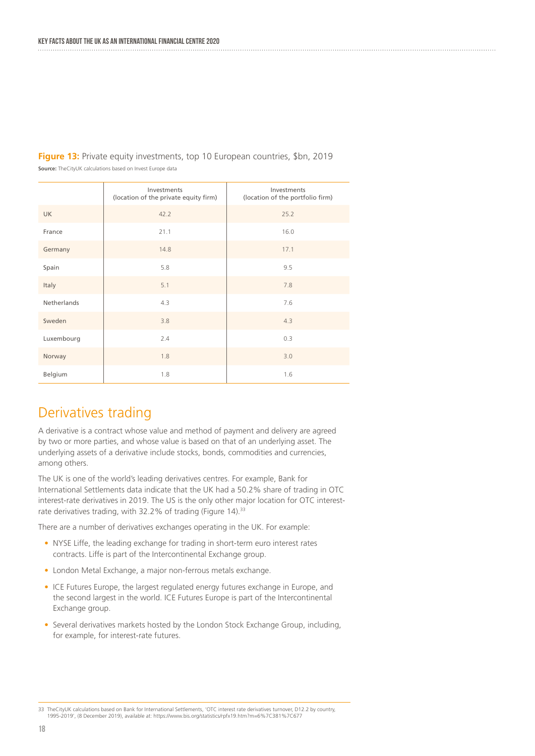|             | Investments<br>(location of the private equity firm) | Investments<br>(location of the portfolio firm) |
|-------------|------------------------------------------------------|-------------------------------------------------|
| <b>UK</b>   | 42.2                                                 | 25.2                                            |
| France      | 21.1                                                 | 16.0                                            |
| Germany     | 14.8                                                 | 17.1                                            |
| Spain       | 5.8                                                  | 9.5                                             |
| Italy       | 5.1                                                  | 7.8                                             |
| Netherlands | 4.3                                                  | 7.6                                             |
| Sweden      | 3.8                                                  | 4.3                                             |
| Luxembourg  | 2.4                                                  | 0.3                                             |
| Norway      | 1.8                                                  | 3.0                                             |
| Belgium     | 1.8                                                  | 1.6                                             |

**Figure 13:** Private equity investments, top 10 European countries, \$bn, 2019 **Source:** TheCityUK calculations based on Invest Europe data

## Derivatives trading

A derivative is a contract whose value and method of payment and delivery are agreed by two or more parties, and whose value is based on that of an underlying asset. The underlying assets of a derivative include stocks, bonds, commodities and currencies, among others.

The UK is one of the world's leading derivatives centres. For example, Bank for International Settlements data indicate that the UK had a 50.2% share of trading in OTC interest-rate derivatives in 2019. The US is the only other major location for OTC interestrate derivatives trading, with 32.2% of trading (Figure 14).<sup>33</sup>

There are a number of derivatives exchanges operating in the UK. For example:

- NYSE Liffe, the leading exchange for trading in short-term euro interest rates contracts. Liffe is part of the Intercontinental Exchange group.
- London Metal Exchange, a major non-ferrous metals exchange.
- ICE Futures Europe, the largest regulated energy futures exchange in Europe, and the second largest in the world. ICE Futures Europe is part of the Intercontinental Exchange group.
- Several derivatives markets hosted by the London Stock Exchange Group, including, for example, for interest-rate futures.

TheCityUK calculations based on Bank for International Settlements, 'OTC interest rate derivatives turnover, D12.2 by country,<br>1995-2019', (8 December 2019), available at: https://www.bis.org/statistics/rpfx19.htm?m=6%7C38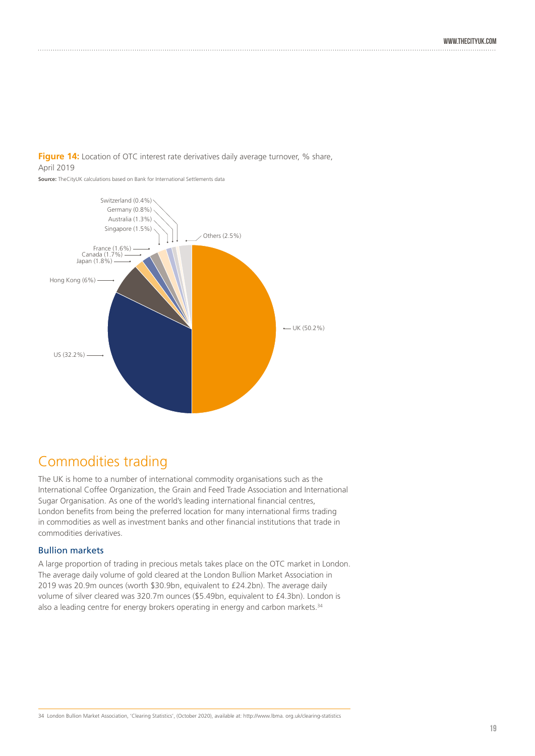

**Source:** TheCityUK calculations based on Bank for International Settlements data



## Commodities trading

The UK is home to a number of international commodity organisations such as the International Coffee Organization, the Grain and Feed Trade Association and International Sugar Organisation. As one of the world's leading international financial centres, London benefits from being the preferred location for many international firms trading in commodities as well as investment banks and other financial institutions that trade in commodities derivatives.

#### Bullion markets

A large proportion of trading in precious metals takes place on the OTC market in London. The average daily volume of gold cleared at the London Bullion Market Association in 2019 was 20.9m ounces (worth \$30.9bn, equivalent to £24.2bn). The average daily volume of silver cleared was 320.7m ounces (\$5.49bn, equivalent to £4.3bn). London is also a leading centre for energy brokers operating in energy and carbon markets.<sup>34</sup>

34 London Bullion Market Association, 'Clearing Statistics', (October 2020), available at: http://www.lbma. org.uk/clearing-statistics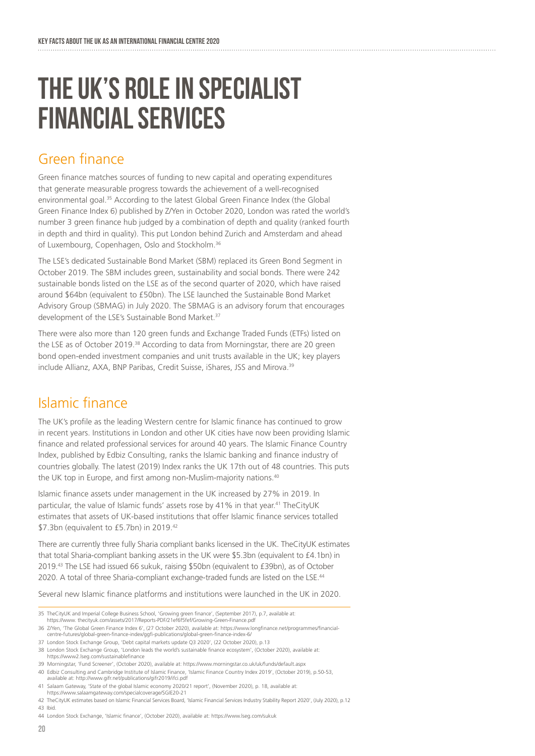## the uk's role in specialist financial services

### Green finance

Green finance matches sources of funding to new capital and operating expenditures that generate measurable progress towards the achievement of a well-recognised environmental goal.35 According to the latest Global Green Finance Index (the Global Green Finance Index 6) published by Z/Yen in October 2020, London was rated the world's number 3 green finance hub judged by a combination of depth and quality (ranked fourth in depth and third in quality). This put London behind Zurich and Amsterdam and ahead of Luxembourg, Copenhagen, Oslo and Stockholm.<sup>36</sup>

The LSE's dedicated Sustainable Bond Market (SBM) replaced its Green Bond Segment in October 2019. The SBM includes green, sustainability and social bonds. There were 242 sustainable bonds listed on the LSE as of the second quarter of 2020, which have raised around \$64bn (equivalent to £50bn). The LSE launched the Sustainable Bond Market Advisory Group (SBMAG) in July 2020. The SBMAG is an advisory forum that encourages development of the LSE's Sustainable Bond Market.<sup>37</sup>

There were also more than 120 green funds and Exchange Traded Funds (ETFs) listed on the LSE as of October 2019.<sup>38</sup> According to data from Morningstar, there are 20 green bond open-ended investment companies and unit trusts available in the UK; key players include Allianz, AXA, BNP Paribas, Credit Suisse, iShares, JSS and Mirova.39

## Islamic finance

The UK's profile as the leading Western centre for Islamic finance has continued to grow in recent years. Institutions in London and other UK cities have now been providing Islamic finance and related professional services for around 40 years. The Islamic Finance Country Index, published by Edbiz Consulting, ranks the Islamic banking and finance industry of countries globally. The latest (2019) Index ranks the UK 17th out of 48 countries. This puts the UK top in Europe, and first among non-Muslim-majority nations.<sup>40</sup>

Islamic finance assets under management in the UK increased by 27% in 2019. In particular, the value of Islamic funds' assets rose by 41% in that year.<sup>41</sup> TheCityUK estimates that assets of UK-based institutions that offer Islamic finance services totalled \$7.3bn (equivalent to £5.7bn) in 2019.<sup>42</sup>

There are currently three fully Sharia compliant banks licensed in the UK. TheCityUK estimates that total Sharia-compliant banking assets in the UK were \$5.3bn (equivalent to £4.1bn) in 2019.43 The LSE had issued 66 sukuk, raising \$50bn (equivalent to £39bn), as of October 2020. A total of three Sharia-compliant exchange-traded funds are listed on the LSE.<sup>44</sup>

Several new Islamic finance platforms and institutions were launched in the UK in 2020.

<sup>35</sup> TheCityUK and Imperial College Business School, 'Growing green finance', (September 2017), p.7, available at: https://www. thecityuk.com/assets/2017/Reports-PDF/21ef6f5fef/Growing-Green-Finance.pdf

<sup>36</sup> Z/Yen, 'The Global Green Finance Index 6', (27 October 2020), available at: https://www.longfinance.net/programmes/financialcentre-futures/global-green-finance-index/ggfi-publications/global-green-finance-index-6/

<sup>37</sup> London Stock Exchange Group, 'Debt capital markets update Q3 2020', (22 October 2020), p.13

<sup>38</sup> London Stock Exchange Group, 'London leads the world's sustainable finance ecosystem', (October 2020), available at: https://www2.lseg.com/sustainablefinance

<sup>39</sup> Morningstar, 'Fund Screener', (October 2020), available at: https://www.morningstar.co.uk/uk/funds/default.aspx

<sup>40</sup> Edbiz Consulting and Cambridge Institute of Islamic Finance, 'Islamic Finance Country Index 2019', (October 2019), p.50-53, available at: http://www.gifr.net/publications/gifr2019/ifci.pdf

<sup>41</sup> Salaam Gateway, 'State of the global Islamic economy 2020/21 report', (November 2020), p. 18, available at: https://www.salaamgateway.com/specialcoverage/SGIE20-21

<sup>42</sup> TheCityUK estimates based on Islamic Financial Services Board, 'Islamic Financial Services Industry Stability Report 2020', (July 2020), p.12 43 Ibid.

<sup>44</sup> London Stock Exchange, 'Islamic finance', (October 2020), available at: https://www.lseg.com/sukuk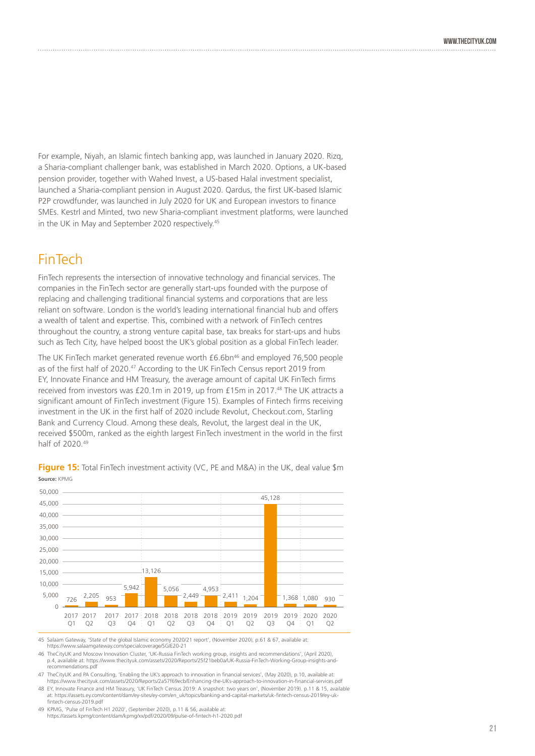For example, Niyah, an Islamic fintech banking app, was launched in January 2020. Rizq, a Sharia-compliant challenger bank, was established in March 2020. Options, a UK-based pension provider, together with Wahed Invest, a US-based Halal investment specialist, launched a Sharia-compliant pension in August 2020. Qardus, the first UK-based Islamic P2P crowdfunder, was launched in July 2020 for UK and European investors to finance SMEs. Kestrl and Minted, two new Sharia-compliant investment platforms, were launched in the UK in May and September 2020 respectively.<sup>45</sup>

### FinTech

FinTech represents the intersection of innovative technology and financial services. The companies in the FinTech sector are generally start-ups founded with the purpose of replacing and challenging traditional financial systems and corporations that are less reliant on software. London is the world's leading international financial hub and offers a wealth of talent and expertise. This, combined with a network of FinTech centres throughout the country, a strong venture capital base, tax breaks for start-ups and hubs such as Tech City, have helped boost the UK's global position as a global FinTech leader.

The UK FinTech market generated revenue worth £6.6bn<sup>46</sup> and employed 76,500 people as of the first half of 2020.<sup>47</sup> According to the UK FinTech Census report 2019 from EY, Innovate Finance and HM Treasury, the average amount of capital UK FinTech firms received from investors was £20.1m in 2019, up from £15m in 2017.48 The UK attracts a significant amount of FinTech investment (Figure 15). Examples of Fintech firms receiving investment in the UK in the first half of 2020 include Revolut, Checkout.com, Starling Bank and Currency Cloud. Among these deals, Revolut, the largest deal in the UK, received \$500m, ranked as the eighth largest FinTech investment in the world in the first half of 2020.49



**Figure 15:** Total FinTech investment activity (VC, PE and M&A) in the UK, deal value \$m **Source:** KPMG

45 Salaam Gateway, 'State of the global Islamic economy 2020/21 report', (November 2020), p.61 & 67, available at: https://www.salaamgateway.com/specialcoverage/SGIE20-21

46 TheCityUK and Moscow Innovation Cluster, 'UK-Russia FinTech working group, insights and recommendations', (April 2020), p.4, available at: https://www.thecityuk.com/assets/2020/Reports/25f21beb0a/UK-Russia-FinTech-Working-Group-insights-andrecommendations.pdf

47 TheCityUK and PA Consulting, 'Enabling the UK's approach to innovation in financial services', (May 2020), p.10, available at:<br>https://www.thecityuk.com/assets/2020/Reports/2a57f69ecb/Enhancing-the-UKs-approach-to-innov

48 EY, Innovate Finance and HM Treasury, 'UK FinTech Census 2019: A snapshot: two years on', (November 2019). p.11 & 15, available at: https://assets.ey.com/content/dam/ey-sites/ey-com/en\_uk/topics/banking-and-capital-markets/uk-fintech-census-2019/ey-ukfintech-census-2019.pdf

49 KPMG, 'Pulse of FinTech H1 2020', (September 2020), p.11 & 56, available at: https://assets.kpmg/content/dam/kpmg/xx/pdf/2020/09/pulse-of-fintech-h1-2020.pdf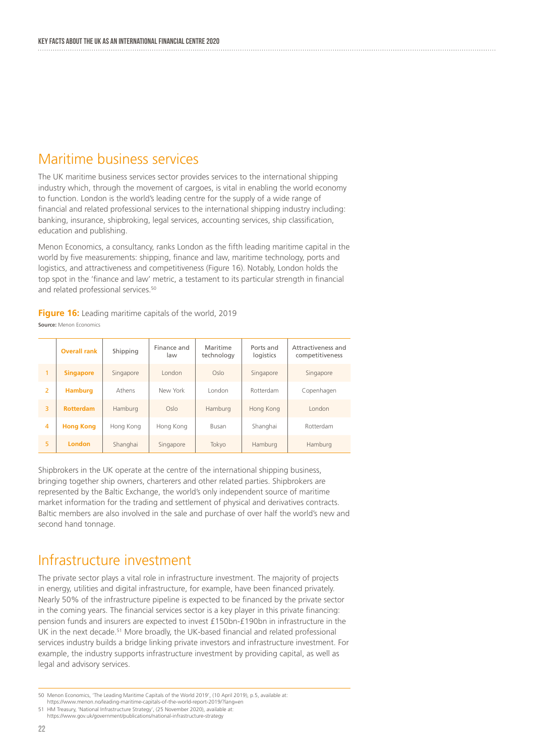### Maritime business services

The UK maritime business services sector provides services to the international shipping industry which, through the movement of cargoes, is vital in enabling the world economy to function. London is the world's leading centre for the supply of a wide range of financial and related professional services to the international shipping industry including: banking, insurance, shipbroking, legal services, accounting services, ship classification, education and publishing.

Menon Economics, a consultancy, ranks London as the fifth leading maritime capital in the world by five measurements: shipping, finance and law, maritime technology, ports and logistics, and attractiveness and competitiveness (Figure 16). Notably, London holds the top spot in the 'finance and law' metric, a testament to its particular strength in financial and related professional services.<sup>50</sup>

**Figure 16:** Leading maritime capitals of the world, 2019 **Source:** Menon Economics

|                | <b>Overall rank</b> | Shipping  | Finance and<br>law | Maritime<br>technology | Ports and<br>logistics | Attractiveness and<br>competitiveness |
|----------------|---------------------|-----------|--------------------|------------------------|------------------------|---------------------------------------|
| 1              | <b>Singapore</b>    | Singapore | London             | Oslo                   | Singapore              | Singapore                             |
| $\overline{2}$ | <b>Hamburg</b>      | Athens    | New York           | London                 | Rotterdam              | Copenhagen                            |
| 3              | <b>Rotterdam</b>    | Hamburg   | Oslo               | Hamburg                | Hong Kong              | London                                |
| 4              | <b>Hong Kong</b>    | Hong Kong | Hong Kong          | Busan                  | Shanghai               | Rotterdam                             |
| 5              | <b>London</b>       | Shanghai  | Singapore          | Tokyo                  | Hamburg                | Hamburg                               |

Shipbrokers in the UK operate at the centre of the international shipping business, bringing together ship owners, charterers and other related parties. Shipbrokers are represented by the Baltic Exchange, the world's only independent source of maritime market information for the trading and settlement of physical and derivatives contracts. Baltic members are also involved in the sale and purchase of over half the world's new and second hand tonnage.

### Infrastructure investment

The private sector plays a vital role in infrastructure investment. The majority of projects in energy, utilities and digital infrastructure, for example, have been financed privately. Nearly 50% of the infrastructure pipeline is expected to be financed by the private sector in the coming years. The financial services sector is a key player in this private financing: pension funds and insurers are expected to invest £150bn-£190bn in infrastructure in the UK in the next decade.<sup>51</sup> More broadly, the UK-based financial and related professional services industry builds a bridge linking private investors and infrastructure investment. For example, the industry supports infrastructure investment by providing capital, as well as legal and advisory services.

<sup>50</sup> Menon Economics, 'The Leading Maritime Capitals of the World 2019', (10 April 2019), p.5, available at: https://www.menon.no/leading-maritime-capitals-of-the-world-report-2019/?lang=en

<sup>51</sup> HM Treasury, 'National Infrastructure Strategy', (25 November 2020), available at: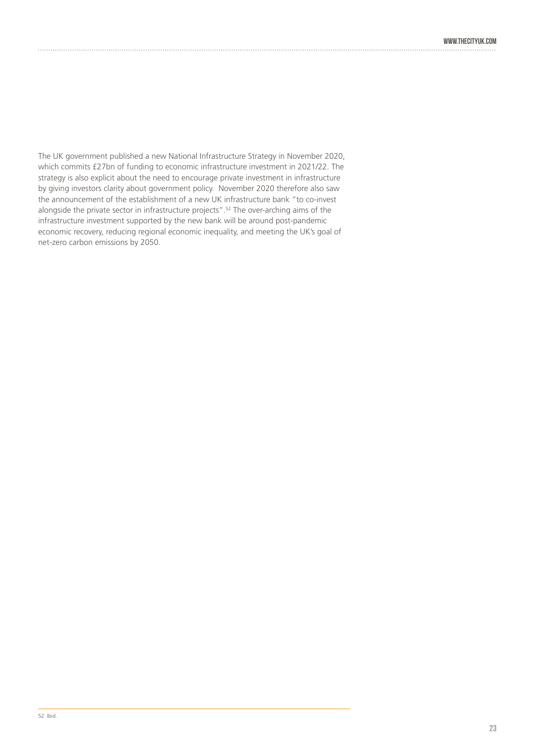The UK government published a new National Infrastructure Strategy in November 2020, which commits £27bn of funding to economic infrastructure investment in 2021/22. The strategy is also explicit about the need to encourage private investment in infrastructure by giving investors clarity about government policy. November 2020 therefore also saw the announcement of the establishment of a new UK infrastructure bank "to co-invest alongside the private sector in infrastructure projects".52 The over-arching aims of the infrastructure investment supported by the new bank will be around post-pandemic economic recovery, reducing regional economic inequality, and meeting the UK's goal of net-zero carbon emissions by 2050.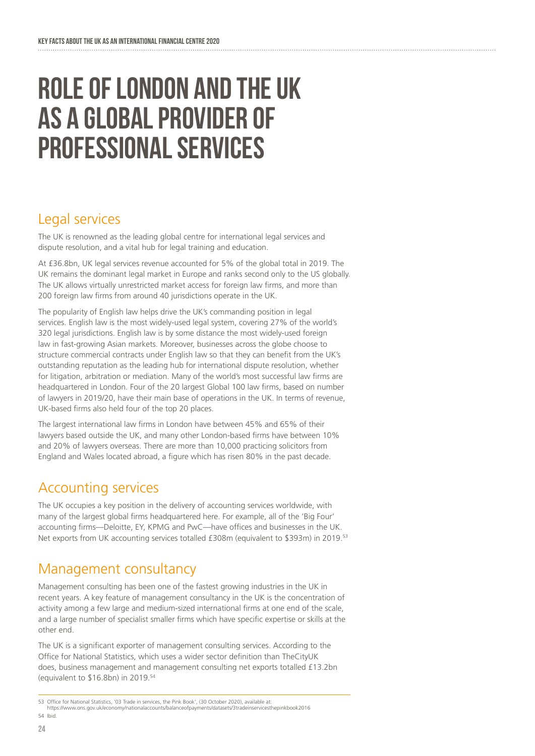## ROLE OF LONDON AND THE UK AS A GLOBAL PROVIDER OF PROFESSIONAL SERVICES

## Legal services

The UK is renowned as the leading global centre for international legal services and dispute resolution, and a vital hub for legal training and education.

At £36.8bn, UK legal services revenue accounted for 5% of the global total in 2019. The UK remains the dominant legal market in Europe and ranks second only to the US globally. The UK allows virtually unrestricted market access for foreign law firms, and more than 200 foreign law firms from around 40 jurisdictions operate in the UK.

The popularity of English law helps drive the UK's commanding position in legal services. English law is the most widely-used legal system, covering 27% of the world's 320 legal jurisdictions. English law is by some distance the most widely-used foreign law in fast-growing Asian markets. Moreover, businesses across the globe choose to structure commercial contracts under English law so that they can benefit from the UK's outstanding reputation as the leading hub for international dispute resolution, whether for litigation, arbitration or mediation. Many of the world's most successful law firms are headquartered in London. Four of the 20 largest Global 100 law firms, based on number of lawyers in 2019/20, have their main base of operations in the UK. In terms of revenue, UK-based firms also held four of the top 20 places.

The largest international law firms in London have between 45% and 65% of their lawyers based outside the UK, and many other London-based firms have between 10% and 20% of lawyers overseas. There are more than 10,000 practicing solicitors from England and Wales located abroad, a figure which has risen 80% in the past decade.

## Accounting services

The UK occupies a key position in the delivery of accounting services worldwide, with many of the largest global firms headquartered here. For example, all of the 'Big Four' accounting firms—Deloitte, EY, KPMG and PwC—have offices and businesses in the UK. Net exports from UK accounting services totalled £308m (equivalent to \$393m) in 2019.53

## Management consultancy

Management consulting has been one of the fastest growing industries in the UK in recent years. A key feature of management consultancy in the UK is the concentration of activity among a few large and medium-sized international firms at one end of the scale, and a large number of specialist smaller firms which have specific expertise or skills at the other end.

The UK is a significant exporter of management consulting services. According to the Office for National Statistics, which uses a wider sector definition than TheCityUK does, business management and management consulting net exports totalled £13.2bn (equivalent to \$16.8bn) in 2019.54

https://www.ons.gov.uk/economy/nationalaccounts/balanceofpayments/datasets/3tradeinservicesthepinkbook2016 54 Ibid.

<sup>53</sup> Office for National Statistics, '03 Trade in services, the Pink Book', (30 October 2020), available at: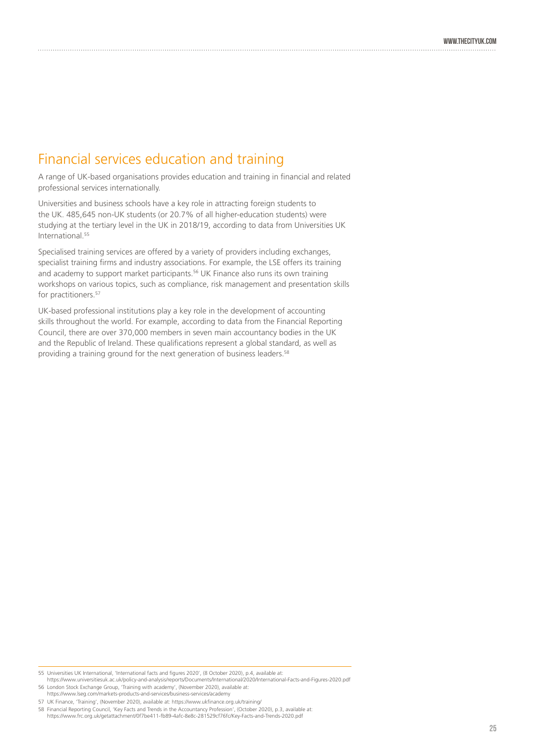### Financial services education and training

A range of UK-based organisations provides education and training in financial and related professional services internationally.

Universities and business schools have a key role in attracting foreign students to the UK. 485,645 non-UK students (or 20.7% of all higher-education students) were studying at the tertiary level in the UK in 2018/19, according to data from Universities UK International.55

Specialised training services are offered by a variety of providers including exchanges, specialist training firms and industry associations. For example, the LSE offers its training and academy to support market participants.<sup>56</sup> UK Finance also runs its own training workshops on various topics, such as compliance, risk management and presentation skills for practitioners.<sup>57</sup>

UK-based professional institutions play a key role in the development of accounting skills throughout the world. For example, according to data from the Financial Reporting Council, there are over 370,000 members in seven main accountancy bodies in the UK and the Republic of Ireland. These qualifications represent a global standard, as well as providing a training ground for the next generation of business leaders.<sup>58</sup>

:58 Financial Reporting Council, 'Key Facts and Trends in the Accountancy Profession', (October 2020), p.3, available at:<br>https://www.frc.org.uk/getattachment/0f7be411-fb89-4afc-8e8c-281529cf76fc/Key-Facts-and-Trends-2020.

<sup>55</sup> Universities UK International, 'International facts and figures 2020', (8 October 2020), p.4, available at:

https://www.universitiesuk.ac.uk/policy-and-analysis/reports/Documents/International/2020/International-Facts-and-Figures-2020.pdf 56 London Stock Exchange Group, 'Training with academy', (November 2020), available at:

https://www.lseg.com/markets-products-and-services/business-services/academy

<sup>57</sup> UK Finance, 'Training', (November 2020), available at: https://www.ukfinance.org.uk/training/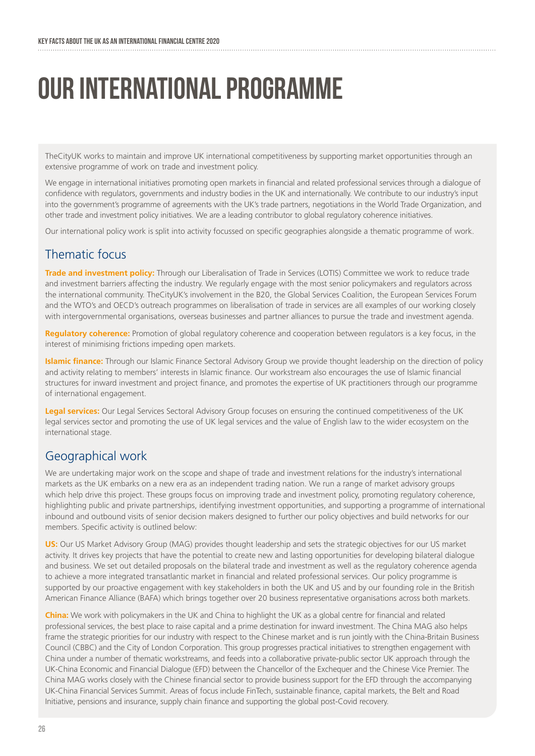## OUR INTERNATIONAL PROGRAMME

TheCityUK works to maintain and improve UK international competitiveness by supporting market opportunities through an extensive programme of work on trade and investment policy.

We engage in international initiatives promoting open markets in financial and related professional services through a dialogue of confidence with regulators, governments and industry bodies in the UK and internationally. We contribute to our industry's input into the government's programme of agreements with the UK's trade partners, negotiations in the World Trade Organization, and other trade and investment policy initiatives. We are a leading contributor to global regulatory coherence initiatives.

Our international policy work is split into activity focussed on specific geographies alongside a thematic programme of work.

### Thematic focus

**Trade and investment policy:** Through our Liberalisation of Trade in Services (LOTIS) Committee we work to reduce trade and investment barriers affecting the industry. We regularly engage with the most senior policymakers and regulators across the international community. TheCityUK's involvement in the B20, the Global Services Coalition, the European Services Forum and the WTO's and OECD's outreach programmes on liberalisation of trade in services are all examples of our working closely with intergovernmental organisations, overseas businesses and partner alliances to pursue the trade and investment agenda.

**Regulatory coherence:** Promotion of global regulatory coherence and cooperation between regulators is a key focus, in the interest of minimising frictions impeding open markets.

**Islamic finance:** Through our Islamic Finance Sectoral Advisory Group we provide thought leadership on the direction of policy and activity relating to members' interests in Islamic finance. Our workstream also encourages the use of Islamic financial structures for inward investment and project finance, and promotes the expertise of UK practitioners through our programme of international engagement.

**Legal services:** Our Legal Services Sectoral Advisory Group focuses on ensuring the continued competitiveness of the UK legal services sector and promoting the use of UK legal services and the value of English law to the wider ecosystem on the international stage.

### Geographical work

We are undertaking major work on the scope and shape of trade and investment relations for the industry's international markets as the UK embarks on a new era as an independent trading nation. We run a range of market advisory groups which help drive this project. These groups focus on improving trade and investment policy, promoting regulatory coherence, highlighting public and private partnerships, identifying investment opportunities, and supporting a programme of international inbound and outbound visits of senior decision makers designed to further our policy objectives and build networks for our members. Specific activity is outlined below:

**US:** Our US Market Advisory Group (MAG) provides thought leadership and sets the strategic objectives for our US market activity. It drives key projects that have the potential to create new and lasting opportunities for developing bilateral dialogue and business. We set out detailed proposals on the bilateral trade and investment as well as the regulatory coherence agenda to achieve a more integrated transatlantic market in financial and related professional services. Our policy programme is supported by our proactive engagement with key stakeholders in both the UK and US and by our founding role in the British American Finance Alliance (BAFA) which brings together over 20 business representative organisations across both markets.

**China:** We work with policymakers in the UK and China to highlight the UK as a global centre for financial and related professional services, the best place to raise capital and a prime destination for inward investment. The China MAG also helps frame the strategic priorities for our industry with respect to the Chinese market and is run jointly with the China-Britain Business Council (CBBC) and the City of London Corporation. This group progresses practical initiatives to strengthen engagement with China under a number of thematic workstreams, and feeds into a collaborative private-public sector UK approach through the UK-China Economic and Financial Dialogue (EFD) between the Chancellor of the Exchequer and the Chinese Vice Premier. The China MAG works closely with the Chinese financial sector to provide business support for the EFD through the accompanying UK-China Financial Services Summit. Areas of focus include FinTech, sustainable finance, capital markets, the Belt and Road Initiative, pensions and insurance, supply chain finance and supporting the global post-Covid recovery.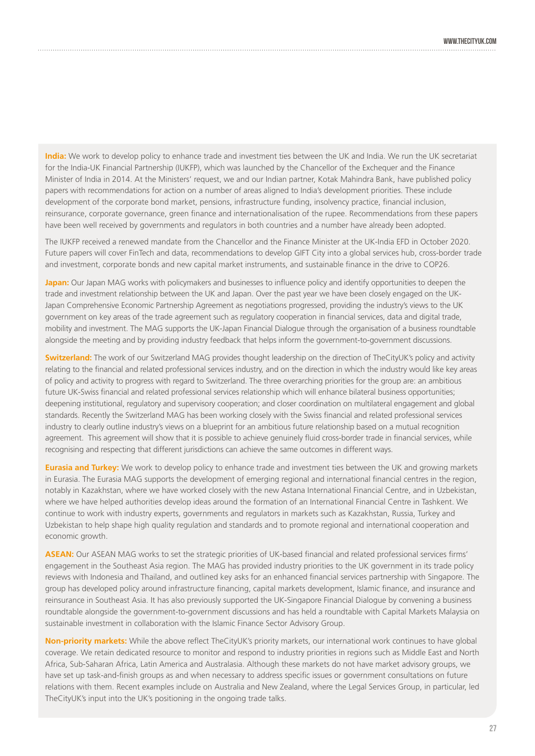**India:** We work to develop policy to enhance trade and investment ties between the UK and India. We run the UK secretariat for the India-UK Financial Partnership (IUKFP), which was launched by the Chancellor of the Exchequer and the Finance Minister of India in 2014. At the Ministers' request, we and our Indian partner, Kotak Mahindra Bank, have published policy papers with recommendations for action on a number of areas aligned to India's development priorities. These include development of the corporate bond market, pensions, infrastructure funding, insolvency practice, financial inclusion, reinsurance, corporate governance, green finance and internationalisation of the rupee. Recommendations from these papers have been well received by governments and regulators in both countries and a number have already been adopted.

The IUKFP received a renewed mandate from the Chancellor and the Finance Minister at the UK-India EFD in October 2020. Future papers will cover FinTech and data, recommendations to develop GIFT City into a global services hub, cross-border trade and investment, corporate bonds and new capital market instruments, and sustainable finance in the drive to COP26.

**Japan:** Our Japan MAG works with policymakers and businesses to influence policy and identify opportunities to deepen the trade and investment relationship between the UK and Japan. Over the past year we have been closely engaged on the UK-Japan Comprehensive Economic Partnership Agreement as negotiations progressed, providing the industry's views to the UK government on key areas of the trade agreement such as regulatory cooperation in financial services, data and digital trade, mobility and investment. The MAG supports the UK-Japan Financial Dialogue through the organisation of a business roundtable alongside the meeting and by providing industry feedback that helps inform the government-to-government discussions.

**Switzerland:** The work of our Switzerland MAG provides thought leadership on the direction of TheCityUK's policy and activity relating to the financial and related professional services industry, and on the direction in which the industry would like key areas of policy and activity to progress with regard to Switzerland. The three overarching priorities for the group are: an ambitious future UK-Swiss financial and related professional services relationship which will enhance bilateral business opportunities; deepening institutional, regulatory and supervisory cooperation; and closer coordination on multilateral engagement and global standards. Recently the Switzerland MAG has been working closely with the Swiss financial and related professional services industry to clearly outline industry's views on a blueprint for an ambitious future relationship based on a mutual recognition agreement. This agreement will show that it is possible to achieve genuinely fluid cross-border trade in financial services, while recognising and respecting that different jurisdictions can achieve the same outcomes in different ways.

**Eurasia and Turkey:** We work to develop policy to enhance trade and investment ties between the UK and growing markets in Eurasia. The Eurasia MAG supports the development of emerging regional and international financial centres in the region, notably in Kazakhstan, where we have worked closely with the new Astana International Financial Centre, and in Uzbekistan, where we have helped authorities develop ideas around the formation of an International Financial Centre in Tashkent. We continue to work with industry experts, governments and regulators in markets such as Kazakhstan, Russia, Turkey and Uzbekistan to help shape high quality regulation and standards and to promote regional and international cooperation and economic growth.

**ASEAN:** Our ASEAN MAG works to set the strategic priorities of UK-based financial and related professional services firms' engagement in the Southeast Asia region. The MAG has provided industry priorities to the UK government in its trade policy reviews with Indonesia and Thailand, and outlined key asks for an enhanced financial services partnership with Singapore. The group has developed policy around infrastructure financing, capital markets development, Islamic finance, and insurance and reinsurance in Southeast Asia. It has also previously supported the UK-Singapore Financial Dialogue by convening a business roundtable alongside the government-to-government discussions and has held a roundtable with Capital Markets Malaysia on sustainable investment in collaboration with the Islamic Finance Sector Advisory Group.

**Non-priority markets:** While the above reflect TheCityUK's priority markets, our international work continues to have global coverage. We retain dedicated resource to monitor and respond to industry priorities in regions such as Middle East and North Africa, Sub-Saharan Africa, Latin America and Australasia. Although these markets do not have market advisory groups, we have set up task-and-finish groups as and when necessary to address specific issues or government consultations on future relations with them. Recent examples include on Australia and New Zealand, where the Legal Services Group, in particular, led TheCityUK's input into the UK's positioning in the ongoing trade talks.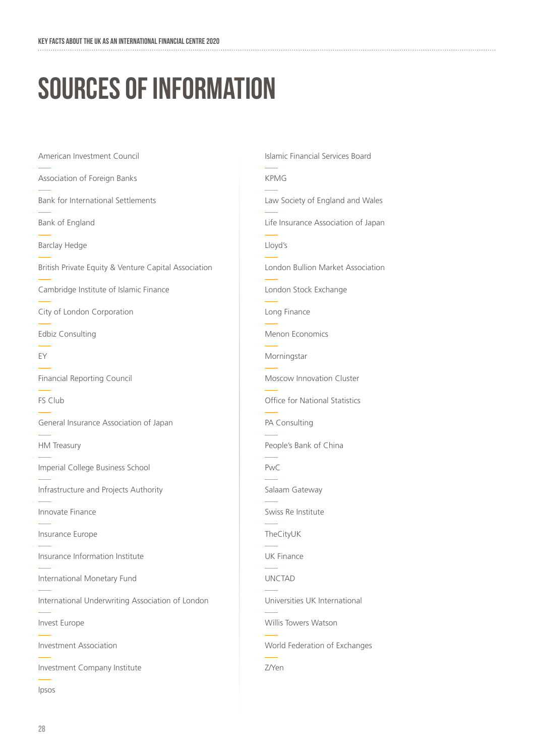# sources of information

American Investment Council Association of Foreign Banks Bank for International Settlements Bank of England Barclay Hedge British Private Equity & Venture Capital Association Cambridge Institute of Islamic Finance City of London Corporation Edbiz Consulting EY Financial Reporting Council FS Club General Insurance Association of Japan HM Treasury Imperial College Business School Infrastructure and Projects Authority Innovate Finance Insurance Europe Insurance Information Institute International Monetary Fund International Underwriting Association of London Invest Europe Investment Association Investment Company Institute

Ipsos

Islamic Financial Services Board KPMG Law Society of England and Wales Life Insurance Association of Japan Lloyd's London Bullion Market Association London Stock Exchange Long Finance Menon Economics Morningstar Moscow Innovation Cluster Office for National Statistics PA Consulting People's Bank of China PwC Salaam Gateway Swiss Re Institute TheCityUK UK Finance UNCTAD Universities UK International Willis Towers Watson World Federation of Exchanges Z/Yen